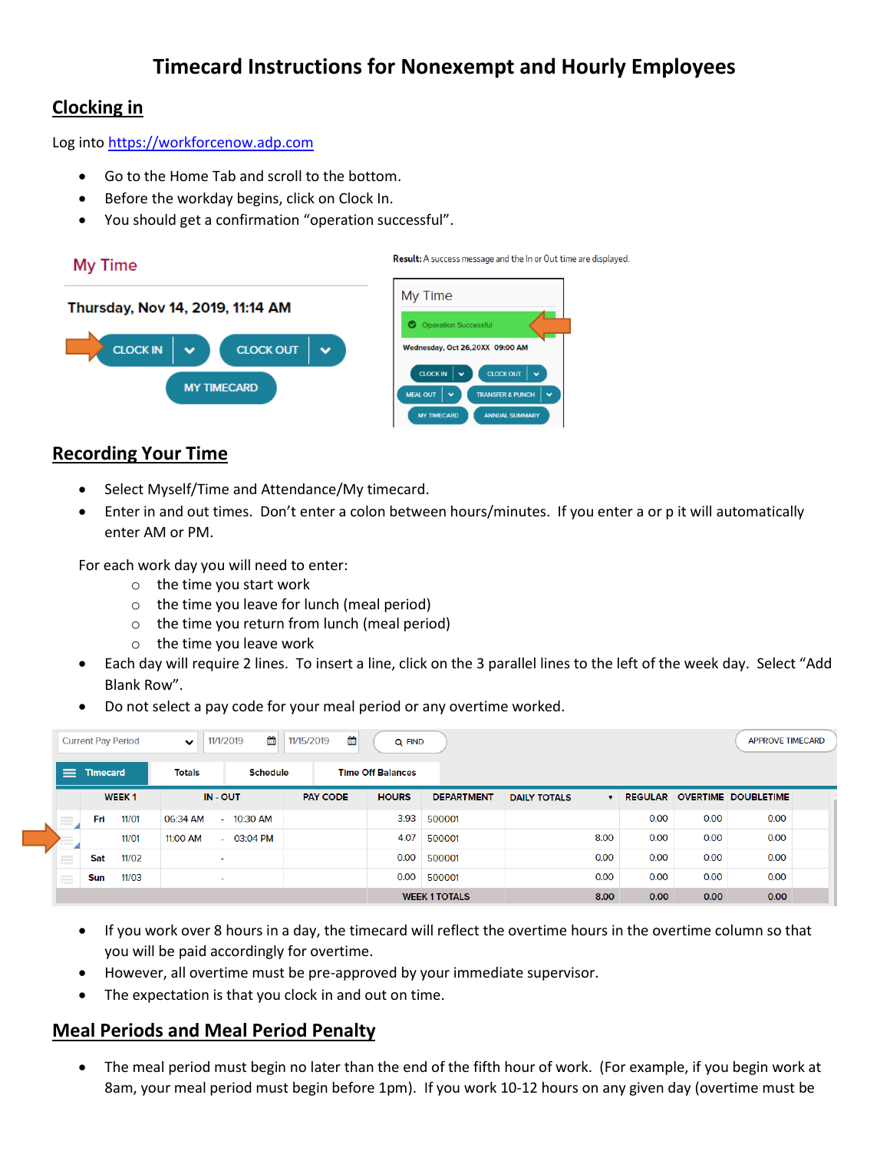# **Timecard Instructions for Nonexempt and Hourly Employees**

# **Clocking in**

Log into [https://workforcenow.adp.com](https://workforcenow.adp.com/)

- Go to the Home Tab and scroll to the bottom.
- Before the workday begins, click on Clock In.
- You should get a confirmation "operation successful".



# **Recording Your Time**

- Select Myself/Time and Attendance/My timecard.
- Enter in and out times. Don't enter a colon between hours/minutes. If you enter a or p it will automatically enter AM or PM.

For each work day you will need to enter:

- o the time you start work
- o the time you leave for lunch (meal period)
- o the time you return from lunch (meal period)
- o the time you leave work
- Each day will require 2 lines. To insert a line, click on the 3 parallel lines to the left of the week day. Select "Add Blank Row".
- Do not select a pay code for your meal period or any overtime worked.

| <b>Current Pay Period</b>       |                 |       | 倫<br>曲<br>11/15/2019<br>11/1/2019<br>Q FIND<br>$\checkmark$ |                          |                          |  |              |                   |                      |  |                |      |                            |      | <b>APPROVE TIMECARD</b> |  |
|---------------------------------|-----------------|-------|-------------------------------------------------------------|--------------------------|--------------------------|--|--------------|-------------------|----------------------|--|----------------|------|----------------------------|------|-------------------------|--|
| ⋿                               | <b>Timecard</b> |       | <b>Schedule</b><br><b>Totals</b>                            |                          | <b>Time Off Balances</b> |  |              |                   |                      |  |                |      |                            |      |                         |  |
|                                 | <b>WEEK1</b>    |       | IN - OUT                                                    |                          | <b>PAY CODE</b>          |  | <b>HOURS</b> | <b>DEPARTMENT</b> | <b>DAILY TOTALS</b>  |  | <b>REGULAR</b> |      | <b>OVERTIME DOUBLETIME</b> |      |                         |  |
| $\equiv$                        | Fri             | 11/01 | 06:34 AM                                                    | $\sim$ 10 $\pm$          | 10:30 AM                 |  |              | 3.93              | 500001               |  |                | 0.00 | 0.00                       | 0.00 |                         |  |
| a a                             |                 | 11/01 | 11:00 AM                                                    |                          | $-03:04$ PM              |  |              | 4.07              | 500001               |  | 8.00           | 0.00 | 0.00                       | 0.00 |                         |  |
| $\frac{1}{2}$<br>$-$            | Sat             | 11/02 |                                                             | $\overline{\phantom{a}}$ |                          |  |              | 0.00              | 500001               |  | 0.00           | 0.00 | 0.00                       | 0.00 |                         |  |
| $\overline{\phantom{a}}$<br>$-$ | <b>Sun</b>      | 11/03 |                                                             | $\sim$                   |                          |  |              | 0.00              | 500001               |  | 0.00           | 0.00 | 0.00                       | 0.00 |                         |  |
|                                 |                 |       |                                                             |                          |                          |  |              |                   | <b>WEEK 1 TOTALS</b> |  | 8.00           | 0.00 | 0.00                       | 0.00 |                         |  |

- If you work over 8 hours in a day, the timecard will reflect the overtime hours in the overtime column so that you will be paid accordingly for overtime.
- However, all overtime must be pre-approved by your immediate supervisor.
- The expectation is that you clock in and out on time.

#### **Meal Periods and Meal Period Penalty**

 The meal period must begin no later than the end of the fifth hour of work. (For example, if you begin work at 8am, your meal period must begin before 1pm). If you work 10-12 hours on any given day (overtime must be